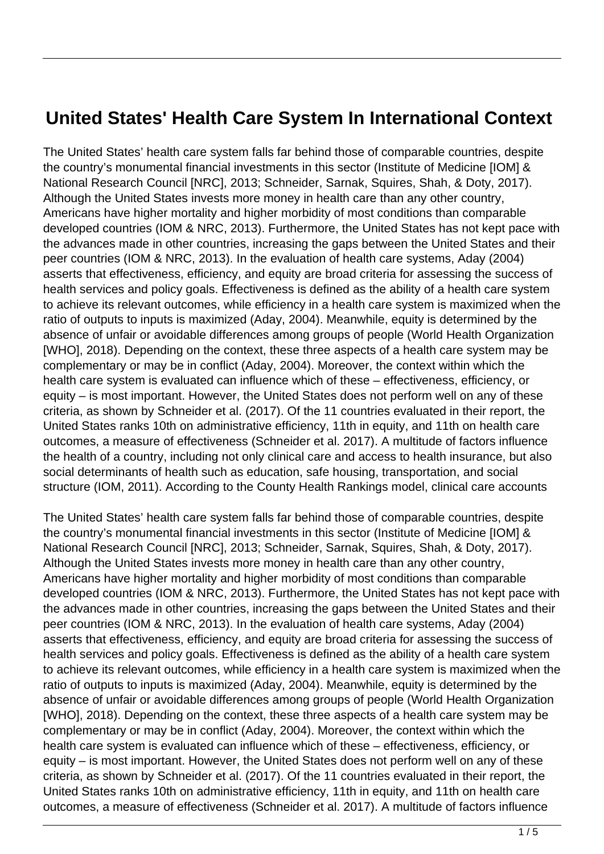## **United States' Health Care System In International Context**

The United States' health care system falls far behind those of comparable countries, despite the country's monumental financial investments in this sector (Institute of Medicine [IOM] & National Research Council [NRC], 2013; Schneider, Sarnak, Squires, Shah, & Doty, 2017). Although the United States invests more money in health care than any other country, Americans have higher mortality and higher morbidity of most conditions than comparable developed countries (IOM & NRC, 2013). Furthermore, the United States has not kept pace with the advances made in other countries, increasing the gaps between the United States and their peer countries (IOM & NRC, 2013). In the evaluation of health care systems, Aday (2004) asserts that effectiveness, efficiency, and equity are broad criteria for assessing the success of health services and policy goals. Effectiveness is defined as the ability of a health care system to achieve its relevant outcomes, while efficiency in a health care system is maximized when the ratio of outputs to inputs is maximized (Aday, 2004). Meanwhile, equity is determined by the absence of unfair or avoidable differences among groups of people (World Health Organization [WHO], 2018). Depending on the context, these three aspects of a health care system may be complementary or may be in conflict (Aday, 2004). Moreover, the context within which the health care system is evaluated can influence which of these – effectiveness, efficiency, or equity – is most important. However, the United States does not perform well on any of these criteria, as shown by Schneider et al. (2017). Of the 11 countries evaluated in their report, the United States ranks 10th on administrative efficiency, 11th in equity, and 11th on health care outcomes, a measure of effectiveness (Schneider et al. 2017). A multitude of factors influence the health of a country, including not only clinical care and access to health insurance, but also social determinants of health such as education, safe housing, transportation, and social structure (IOM, 2011). According to the County Health Rankings model, clinical care accounts

The United States' health care system falls far behind those of comparable countries, despite the country's monumental financial investments in this sector (Institute of Medicine [IOM] & National Research Council [NRC], 2013; Schneider, Sarnak, Squires, Shah, & Doty, 2017). Although the United States invests more money in health care than any other country, Americans have higher mortality and higher morbidity of most conditions than comparable developed countries (IOM & NRC, 2013). Furthermore, the United States has not kept pace with the advances made in other countries, increasing the gaps between the United States and their peer countries (IOM & NRC, 2013). In the evaluation of health care systems, Aday (2004) asserts that effectiveness, efficiency, and equity are broad criteria for assessing the success of health services and policy goals. Effectiveness is defined as the ability of a health care system to achieve its relevant outcomes, while efficiency in a health care system is maximized when the ratio of outputs to inputs is maximized (Aday, 2004). Meanwhile, equity is determined by the absence of unfair or avoidable differences among groups of people (World Health Organization [WHO], 2018). Depending on the context, these three aspects of a health care system may be complementary or may be in conflict (Aday, 2004). Moreover, the context within which the health care system is evaluated can influence which of these – effectiveness, efficiency, or equity – is most important. However, the United States does not perform well on any of these criteria, as shown by Schneider et al. (2017). Of the 11 countries evaluated in their report, the United States ranks 10th on administrative efficiency, 11th in equity, and 11th on health care outcomes, a measure of effectiveness (Schneider et al. 2017). A multitude of factors influence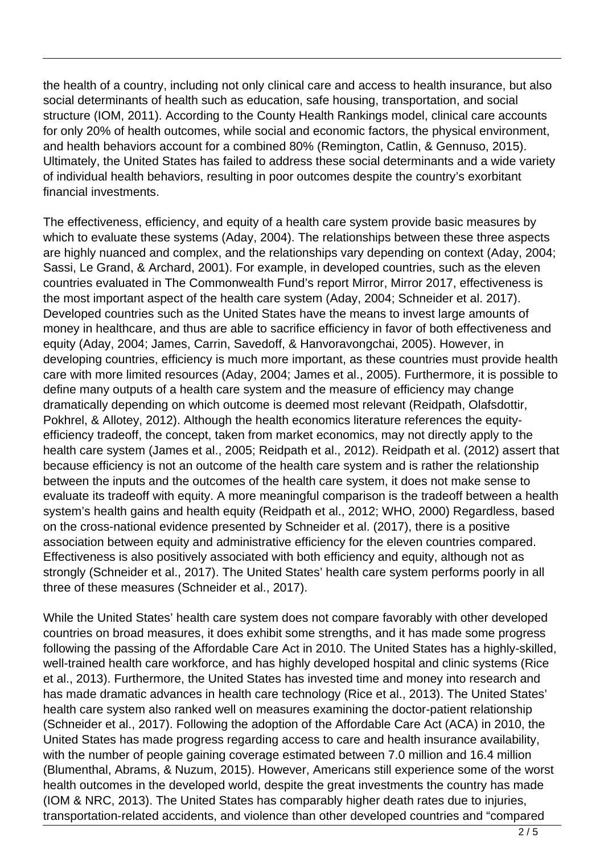the health of a country, including not only clinical care and access to health insurance, but also social determinants of health such as education, safe housing, transportation, and social structure (IOM, 2011). According to the County Health Rankings model, clinical care accounts for only 20% of health outcomes, while social and economic factors, the physical environment, and health behaviors account for a combined 80% (Remington, Catlin, & Gennuso, 2015). Ultimately, the United States has failed to address these social determinants and a wide variety of individual health behaviors, resulting in poor outcomes despite the country's exorbitant financial investments.

The effectiveness, efficiency, and equity of a health care system provide basic measures by which to evaluate these systems (Aday, 2004). The relationships between these three aspects are highly nuanced and complex, and the relationships vary depending on context (Aday, 2004; Sassi, Le Grand, & Archard, 2001). For example, in developed countries, such as the eleven countries evaluated in The Commonwealth Fund's report Mirror, Mirror 2017, effectiveness is the most important aspect of the health care system (Aday, 2004; Schneider et al. 2017). Developed countries such as the United States have the means to invest large amounts of money in healthcare, and thus are able to sacrifice efficiency in favor of both effectiveness and equity (Aday, 2004; James, Carrin, Savedoff, & Hanvoravongchai, 2005). However, in developing countries, efficiency is much more important, as these countries must provide health care with more limited resources (Aday, 2004; James et al., 2005). Furthermore, it is possible to define many outputs of a health care system and the measure of efficiency may change dramatically depending on which outcome is deemed most relevant (Reidpath, Olafsdottir, Pokhrel, & Allotey, 2012). Although the health economics literature references the equityefficiency tradeoff, the concept, taken from market economics, may not directly apply to the health care system (James et al., 2005; Reidpath et al., 2012). Reidpath et al. (2012) assert that because efficiency is not an outcome of the health care system and is rather the relationship between the inputs and the outcomes of the health care system, it does not make sense to evaluate its tradeoff with equity. A more meaningful comparison is the tradeoff between a health system's health gains and health equity (Reidpath et al., 2012; WHO, 2000) Regardless, based on the cross-national evidence presented by Schneider et al. (2017), there is a positive association between equity and administrative efficiency for the eleven countries compared. Effectiveness is also positively associated with both efficiency and equity, although not as strongly (Schneider et al., 2017). The United States' health care system performs poorly in all three of these measures (Schneider et al., 2017).

While the United States' health care system does not compare favorably with other developed countries on broad measures, it does exhibit some strengths, and it has made some progress following the passing of the Affordable Care Act in 2010. The United States has a highly-skilled, well-trained health care workforce, and has highly developed hospital and clinic systems (Rice et al., 2013). Furthermore, the United States has invested time and money into research and has made dramatic advances in health care technology (Rice et al., 2013). The United States' health care system also ranked well on measures examining the doctor-patient relationship (Schneider et al., 2017). Following the adoption of the Affordable Care Act (ACA) in 2010, the United States has made progress regarding access to care and health insurance availability, with the number of people gaining coverage estimated between 7.0 million and 16.4 million (Blumenthal, Abrams, & Nuzum, 2015). However, Americans still experience some of the worst health outcomes in the developed world, despite the great investments the country has made (IOM & NRC, 2013). The United States has comparably higher death rates due to injuries, transportation-related accidents, and violence than other developed countries and "compared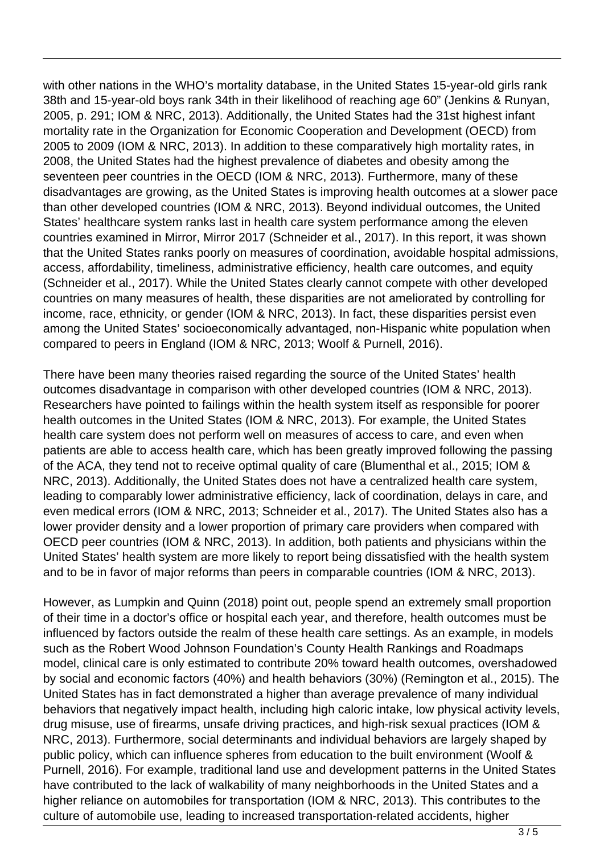with other nations in the WHO's mortality database, in the United States 15-year-old girls rank 38th and 15-year-old boys rank 34th in their likelihood of reaching age 60" (Jenkins & Runyan, 2005, p. 291; IOM & NRC, 2013). Additionally, the United States had the 31st highest infant mortality rate in the Organization for Economic Cooperation and Development (OECD) from 2005 to 2009 (IOM & NRC, 2013). In addition to these comparatively high mortality rates, in 2008, the United States had the highest prevalence of diabetes and obesity among the seventeen peer countries in the OECD (IOM & NRC, 2013). Furthermore, many of these disadvantages are growing, as the United States is improving health outcomes at a slower pace than other developed countries (IOM & NRC, 2013). Beyond individual outcomes, the United States' healthcare system ranks last in health care system performance among the eleven countries examined in Mirror, Mirror 2017 (Schneider et al., 2017). In this report, it was shown that the United States ranks poorly on measures of coordination, avoidable hospital admissions, access, affordability, timeliness, administrative efficiency, health care outcomes, and equity (Schneider et al., 2017). While the United States clearly cannot compete with other developed countries on many measures of health, these disparities are not ameliorated by controlling for income, race, ethnicity, or gender (IOM & NRC, 2013). In fact, these disparities persist even among the United States' socioeconomically advantaged, non-Hispanic white population when compared to peers in England (IOM & NRC, 2013; Woolf & Purnell, 2016).

There have been many theories raised regarding the source of the United States' health outcomes disadvantage in comparison with other developed countries (IOM & NRC, 2013). Researchers have pointed to failings within the health system itself as responsible for poorer health outcomes in the United States (IOM & NRC, 2013). For example, the United States health care system does not perform well on measures of access to care, and even when patients are able to access health care, which has been greatly improved following the passing of the ACA, they tend not to receive optimal quality of care (Blumenthal et al., 2015; IOM & NRC, 2013). Additionally, the United States does not have a centralized health care system, leading to comparably lower administrative efficiency, lack of coordination, delays in care, and even medical errors (IOM & NRC, 2013; Schneider et al., 2017). The United States also has a lower provider density and a lower proportion of primary care providers when compared with OECD peer countries (IOM & NRC, 2013). In addition, both patients and physicians within the United States' health system are more likely to report being dissatisfied with the health system and to be in favor of major reforms than peers in comparable countries (IOM & NRC, 2013).

However, as Lumpkin and Quinn (2018) point out, people spend an extremely small proportion of their time in a doctor's office or hospital each year, and therefore, health outcomes must be influenced by factors outside the realm of these health care settings. As an example, in models such as the Robert Wood Johnson Foundation's County Health Rankings and Roadmaps model, clinical care is only estimated to contribute 20% toward health outcomes, overshadowed by social and economic factors (40%) and health behaviors (30%) (Remington et al., 2015). The United States has in fact demonstrated a higher than average prevalence of many individual behaviors that negatively impact health, including high caloric intake, low physical activity levels, drug misuse, use of firearms, unsafe driving practices, and high-risk sexual practices (IOM & NRC, 2013). Furthermore, social determinants and individual behaviors are largely shaped by public policy, which can influence spheres from education to the built environment (Woolf & Purnell, 2016). For example, traditional land use and development patterns in the United States have contributed to the lack of walkability of many neighborhoods in the United States and a higher reliance on automobiles for transportation (IOM & NRC, 2013). This contributes to the culture of automobile use, leading to increased transportation-related accidents, higher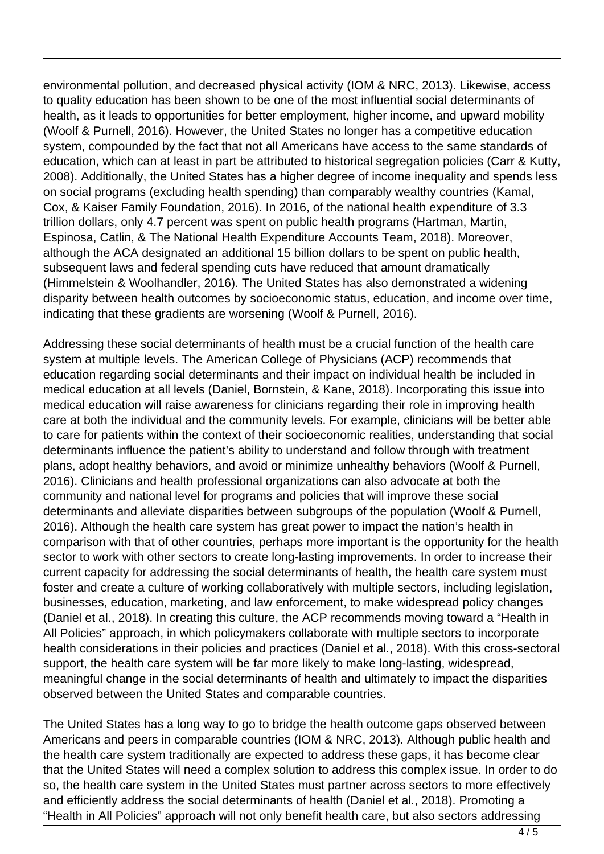environmental pollution, and decreased physical activity (IOM & NRC, 2013). Likewise, access to quality education has been shown to be one of the most influential social determinants of health, as it leads to opportunities for better employment, higher income, and upward mobility (Woolf & Purnell, 2016). However, the United States no longer has a competitive education system, compounded by the fact that not all Americans have access to the same standards of education, which can at least in part be attributed to historical segregation policies (Carr & Kutty, 2008). Additionally, the United States has a higher degree of income inequality and spends less on social programs (excluding health spending) than comparably wealthy countries (Kamal, Cox, & Kaiser Family Foundation, 2016). In 2016, of the national health expenditure of 3.3 trillion dollars, only 4.7 percent was spent on public health programs (Hartman, Martin, Espinosa, Catlin, & The National Health Expenditure Accounts Team, 2018). Moreover, although the ACA designated an additional 15 billion dollars to be spent on public health, subsequent laws and federal spending cuts have reduced that amount dramatically (Himmelstein & Woolhandler, 2016). The United States has also demonstrated a widening disparity between health outcomes by socioeconomic status, education, and income over time, indicating that these gradients are worsening (Woolf & Purnell, 2016).

Addressing these social determinants of health must be a crucial function of the health care system at multiple levels. The American College of Physicians (ACP) recommends that education regarding social determinants and their impact on individual health be included in medical education at all levels (Daniel, Bornstein, & Kane, 2018). Incorporating this issue into medical education will raise awareness for clinicians regarding their role in improving health care at both the individual and the community levels. For example, clinicians will be better able to care for patients within the context of their socioeconomic realities, understanding that social determinants influence the patient's ability to understand and follow through with treatment plans, adopt healthy behaviors, and avoid or minimize unhealthy behaviors (Woolf & Purnell, 2016). Clinicians and health professional organizations can also advocate at both the community and national level for programs and policies that will improve these social determinants and alleviate disparities between subgroups of the population (Woolf & Purnell, 2016). Although the health care system has great power to impact the nation's health in comparison with that of other countries, perhaps more important is the opportunity for the health sector to work with other sectors to create long-lasting improvements. In order to increase their current capacity for addressing the social determinants of health, the health care system must foster and create a culture of working collaboratively with multiple sectors, including legislation, businesses, education, marketing, and law enforcement, to make widespread policy changes (Daniel et al., 2018). In creating this culture, the ACP recommends moving toward a "Health in All Policies" approach, in which policymakers collaborate with multiple sectors to incorporate health considerations in their policies and practices (Daniel et al., 2018). With this cross-sectoral support, the health care system will be far more likely to make long-lasting, widespread, meaningful change in the social determinants of health and ultimately to impact the disparities observed between the United States and comparable countries.

The United States has a long way to go to bridge the health outcome gaps observed between Americans and peers in comparable countries (IOM & NRC, 2013). Although public health and the health care system traditionally are expected to address these gaps, it has become clear that the United States will need a complex solution to address this complex issue. In order to do so, the health care system in the United States must partner across sectors to more effectively and efficiently address the social determinants of health (Daniel et al., 2018). Promoting a "Health in All Policies" approach will not only benefit health care, but also sectors addressing